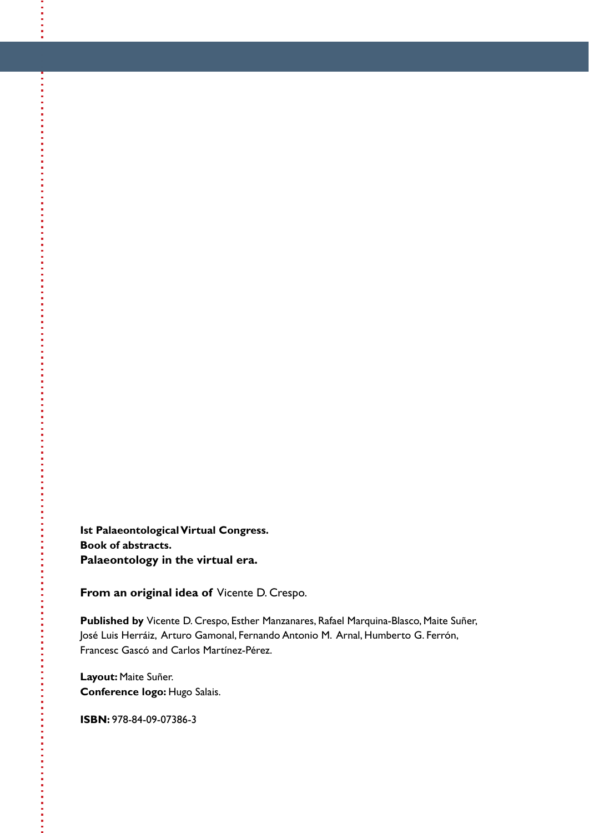**Ist Palaeontological Virtual Congress. Book of abstracts. Palaeontology in the virtual era.** 

**From an original idea of** Vicente D. Crespo.

**Published by** Vicente D. Crespo, Esther Manzanares, Rafael Marquina-Blasco, Maite Suñer, José Luis Herráiz, Arturo Gamonal, Fernando Antonio M. Arnal, Humberto G. Ferrón, Francesc Gascó and Carlos Martínez-Pérez.

**Layout:** Maite Suñer. **Conference logo:** Hugo Salais.

**ISBN:** 978-84-09-07386-3